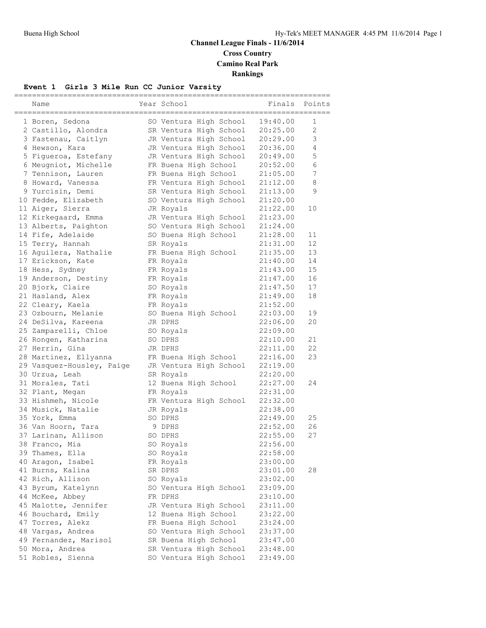### **Channel League Finals - 11/6/2014 Cross Country Camino Real Park Rankings**

#### **Event 1 Girls 3 Mile Run CC Junior Varsity**

| Name                      | Year School                       | Finals               | Points         |
|---------------------------|-----------------------------------|----------------------|----------------|
|                           |                                   |                      |                |
| 1 Boren, Sedona           | SO Ventura High School            | 19:40.00             | 1              |
| 2 Castillo, Alondra       | SR Ventura High School            | 20:25.00             | $\overline{2}$ |
| 3 Fastenau, Caitlyn       | JR Ventura High School            | 20:29.00             | 3              |
| 4 Hewson, Kara            | JR Ventura High School            | 20:36.00             | 4              |
| 5 Figueroa, Estefany      | JR Ventura High School            | 20:49.00             | 5              |
| 6 Meugniot, Michelle      | FR Buena High School              | 20:52.00             | 6              |
| 7 Tennison, Lauren        | FR Buena High School              | 21:05.00             | 7              |
| 8 Howard, Vanessa         | FR Ventura High School            | 21:12.00             | 8              |
| 9 Yurcisin, Demi          | SR Ventura High School            | 21:13.00             | 9              |
| 10 Fedde, Elizabeth       | SO Ventura High School            | 21:20.00             |                |
| 11 Aiger, Sierra          | JR Royals                         | 21:22.00             | 10             |
| 12 Kirkegaard, Emma       | JR Ventura High School            | 21:23.00             |                |
| 13 Alberts, Paighton      | SO Ventura High School            | 21:24.00             |                |
| 14 Fife, Adelaide         | SO Buena High School              | 21:28.00             | 11             |
| 15 Terry, Hannah          | SR Royals                         | 21:31.00             | 12             |
| 16 Aguilera, Nathalie     | FR Buena High School              | 21:35.00             | 13             |
| 17 Erickson, Kate         | FR Royals                         | 21:40.00             | 14             |
| 18 Hess, Sydney           | FR Royals                         | 21:43.00             | 15             |
| 19 Anderson, Destiny      | FR Royals                         | 21:47.00             | 16             |
| 20 Bjork, Claire          | SO Royals                         | 21:47.50             | 17             |
| 21 Hasland, Alex          | FR Royals                         | 21:49.00             | 18             |
| 22 Cleary, Kaela          | FR Royals                         | 21:52.00             |                |
| 23 Ozbourn, Melanie       | SO Buena High School              | 22:03.00             | 19             |
| 24 DeSilva, Kareena       | JR DPHS                           | 22:06.00             | 20             |
| 25 Zamparelli, Chloe      | SO Royals                         | 22:09.00             |                |
| 26 Rongen, Katharina      | SO DPHS                           | 22:10.00             | 21             |
| 27 Herrin, Gina           | JR DPHS                           | 22:11.00             | 22             |
| 28 Martinez, Ellyanna     | FR Buena High School              | 22:16.00             | 23             |
| 29 Vasquez-Housley, Paige | JR Ventura High School            | 22:19.00             |                |
| 30 Urzua, Leah            | SR Royals                         | 22:20.00             |                |
| 31 Morales, Tati          | 12 Buena High School              | 22:27.00             | 24             |
| 32 Plant, Megan           | FR Royals                         | 22:31.00             |                |
| 33 Hishmeh, Nicole        | FR Ventura High School            | 22:32.00             |                |
| 34 Musick, Natalie        | JR Royals                         | 22:38.00             |                |
| 35 York, Emma             | SO DPHS                           | 22:49.00             | 25             |
| 36 Van Hoorn, Tara        | 9 DPHS                            | 22:52.00             | 26             |
| 37 Larinan, Allison       | SO DPHS                           | 22:55.00             | 27             |
| 38 Franco, Mia            | SO Royals                         | 22:56.00             |                |
| 39 Thames, Ella           |                                   | 22:58.00             |                |
| 40 Aragon, Isabel         | SO Royals                         | 23:00.00             |                |
| 41 Burns, Kalina          | FR Royals<br>SR DPHS              | 23:01.00             | 28             |
| 42 Rich, Allison          |                                   |                      |                |
| 43 Byrum, Katelynn        | SO Royals                         | 23:02.00<br>23:09.00 |                |
| 44 McKee, Abbey           | SO Ventura High School<br>FR DPHS |                      |                |
|                           |                                   | 23:10.00             |                |
| 45 Malotte, Jennifer      | JR Ventura High School            | 23:11.00             |                |
| 46 Bouchard, Emily        | 12 Buena High School              | 23:22.00             |                |
| 47 Torres, Alekz          | FR Buena High School              | 23:24.00             |                |
| 48 Vargas, Andrea         | SO Ventura High School            | 23:37.00             |                |
| 49 Fernandez, Marisol     | SR Buena High School              | 23:47.00             |                |
| 50 Mora, Andrea           | SR Ventura High School            | 23:48.00             |                |
| 51 Robles, Sienna         | SO Ventura High School            | 23:49.00             |                |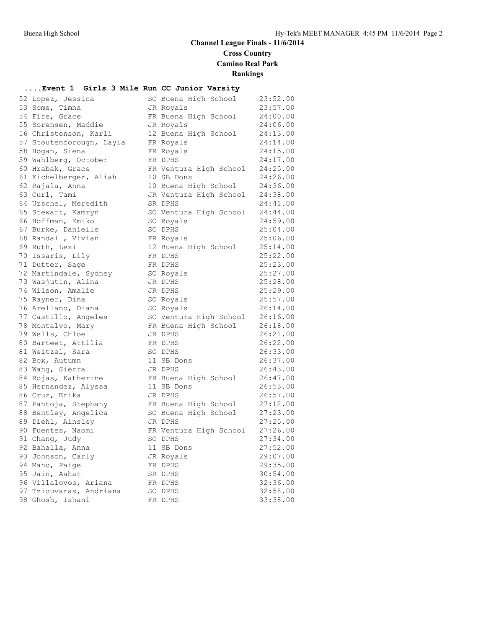## **Channel League Finals - 11/6/2014 Cross Country Camino Real Park**

**Rankings**

### **....Event 1 Girls 3 Mile Run CC Junior Varsity**

| 52 Lopez, Jessica        | SO Buena High School   | 23:52.00 |
|--------------------------|------------------------|----------|
| 53 Some, Timna           | JR Royals              | 23:57.00 |
| 54 Fife, Grace           | FR Buena High School   | 24:00.00 |
| 55 Sorensen, Maddie      | JR Royals              | 24:06.00 |
| 56 Christenson, Karli    | 12 Buena High School   | 24:13.00 |
| 57 Stoutenforough, Layla | FR Royals              | 24:14.00 |
| 58 Hogan, Siena          | FR Royals              | 24:15.00 |
| 59 Wahlberg, October     | FR DPHS                | 24:17.00 |
| 60 Hrabak, Grace         | FR Ventura High School | 24:25.00 |
| 61 Eichelberger, Aliah   | 10 SB Dons             | 24:26.00 |
| 62 Rajala, Anna          | 10 Buena High School   | 24:36.00 |
| 63 Curl, Tami            | JR Ventura High School | 24:38.00 |
| 64 Urschel, Meredith     | SR DPHS                | 24:41.00 |
| 65 Stewart, Kamryn       | SO Ventura High School | 24:44.00 |
| 66 Hoffman, Emiko        | SO Royals              | 24:59.00 |
| 67 Burke, Danielle       | SO DPHS                | 25:04.00 |
| 68 Randall, Vivian       | FR Royals              | 25:06.00 |
| 69 Ruth, Lexi            | 12 Buena High School   | 25:14.00 |
| 70 Issaris, Lily         | FR DPHS                | 25:22.00 |
| 71 Dutter, Sage          | FR DPHS                | 25:23.00 |
| 72 Martindale, Sydney    | SO Royals              | 25:27.00 |
| 73 Wasjutin, Alina       | JR DPHS                | 25:28.00 |
| 74 Wilson, Amalie        | JR DPHS                | 25:29.00 |
| 75 Rayner, Dina          | SO Royals              | 25:57.00 |
| 76 Arellano, Diana       | SO Royals              | 26:14.00 |
| 77 Castillo, Angeles     | SO Ventura High School | 26:16.00 |
| 78 Montalvo, Mary        | FR Buena High School   | 26:18.00 |
| 79 Wells, Chloe          | JR DPHS                | 26:21.00 |
| 80 Barteet, Attilia      | FR DPHS                | 26:22.00 |
| 81 Weitzel, Sara         | SO DPHS                | 26:33.00 |
| 82 Box, Autumn           | 11 SB Dons             | 26:37.00 |
| 83 Wang, Sierra          | JR DPHS                | 26:43.00 |
| 84 Rojas, Katherine      | FR Buena High School   | 26:47.00 |
| 85 Hernandez, Alyssa     | 11 SB Dons             | 26:53.00 |
| 86 Cruz, Erika           | JR DPHS                | 26:57.00 |
| 87 Pantoja, Stephany     | FR Buena High School   | 27:12.00 |
| 88 Bentley, Angelica     | SO Buena High School   | 27:23.00 |
| 89 Diehl, Ainsley        | JR DPHS                | 27:25.00 |
| 90 Fuentes, Naomi        | FR Ventura High School | 27:26.00 |
| 91 Chang, Judy           | SO DPHS                | 27:34.00 |
| 92 Bahalla, Anna         | 11 SB Dons             | 27:52.00 |
| 93 Johnson, Carly        | JR Royals              | 29:07.00 |
| 94 Maho, Paige           | FR DPHS                | 29:35.00 |
| 95 Jain, Aahat           | SR DPHS                | 30:54.00 |
| 96 Villalovos, Ariana    | FR DPHS                | 32:36.00 |
| 97 Tziouvaras, Andriana  | SO DPHS                | 32:58.00 |
| 98 Ghosh, Ishani         | FR DPHS                | 33:38.00 |

| $\cdots$         | $-0.444 - 0.4$         |                      |
|------------------|------------------------|----------------------|
|                  | SO Buena High School   | 23:52.00             |
|                  | JR Royals              | 23:57.00             |
| FR               | Buena High School      | 24:00.00             |
|                  | JR Royals              | 24:06.00             |
|                  | 12 Buena High School   | 24:13.00             |
| FR               | Royals                 | 24:14.00             |
| FR               | Royals                 | 24:15.00             |
| FR               | DPHS                   | 24:17.00             |
| FR               | Ventura High School    | 24:25.00             |
| 10               | SB Dons                | 24:26.00             |
| 10 <sub>1</sub>  | Buena High School      | 24:36.00             |
|                  | JR Ventura High School | 24:38.00             |
| SR               | DPHS                   | 24:41.00             |
| SO               | Ventura High School    | 24:44.00             |
| SO               | Royals                 | 24:59.00             |
| SO               | <b>DPHS</b>            | 25:04.00             |
|                  | FR Royals              | 25:06.00             |
|                  | 12 Buena High School   | 25:14.00             |
| FR               | DPHS                   | 25:22.00             |
| FR               | DPHS                   | 25:23.00             |
| SO               | Royals                 | 25:27.00             |
| JR               | <b>DPHS</b>            | 25:28.00             |
|                  | JR DPHS                | 25:29.00             |
|                  | SO Royals              | 25:57.00             |
|                  | SO Royals              | 26:14.00             |
| SO               | Ventura High School    | 26:16.00             |
| FR               | Buena High School      | 26:18.00             |
| JR               | DPHS                   | 26:21.00             |
| FR               | DPHS                   | 26:22.00             |
|                  | SO DPHS                | 26:33.00             |
| 11               | SB Dons                | 26:37.00             |
| JR               | DPHS                   | 26:43.00             |
| FR               | Buena High School      | 26:47.00             |
| 11               | SB Dons                | 26:53.00             |
|                  | JR DPHS                | 26:57.00             |
|                  | FR Buena High School   | 27:12.00             |
|                  | SO Buena High School   | 27:23.00             |
|                  | JR DPHS                | 27:25.00             |
|                  | FR Ventura High School | 27:26.00             |
| SO               | DPHS                   | 27:34.00             |
| 11               | SB Dons                | 27:52.00             |
| JR               | Royals<br>DPHS         | 29:07.00<br>29:35.00 |
| ${\rm FR}$<br>SR | <b>DPHS</b>            | 30:54.00             |
| FR               | <b>DPHS</b>            | 32:36.00             |
| SO               | <b>DPHS</b>            | 32:58.00             |
| FR               | <b>DPHS</b>            | 33:38.00             |
|                  |                        |                      |